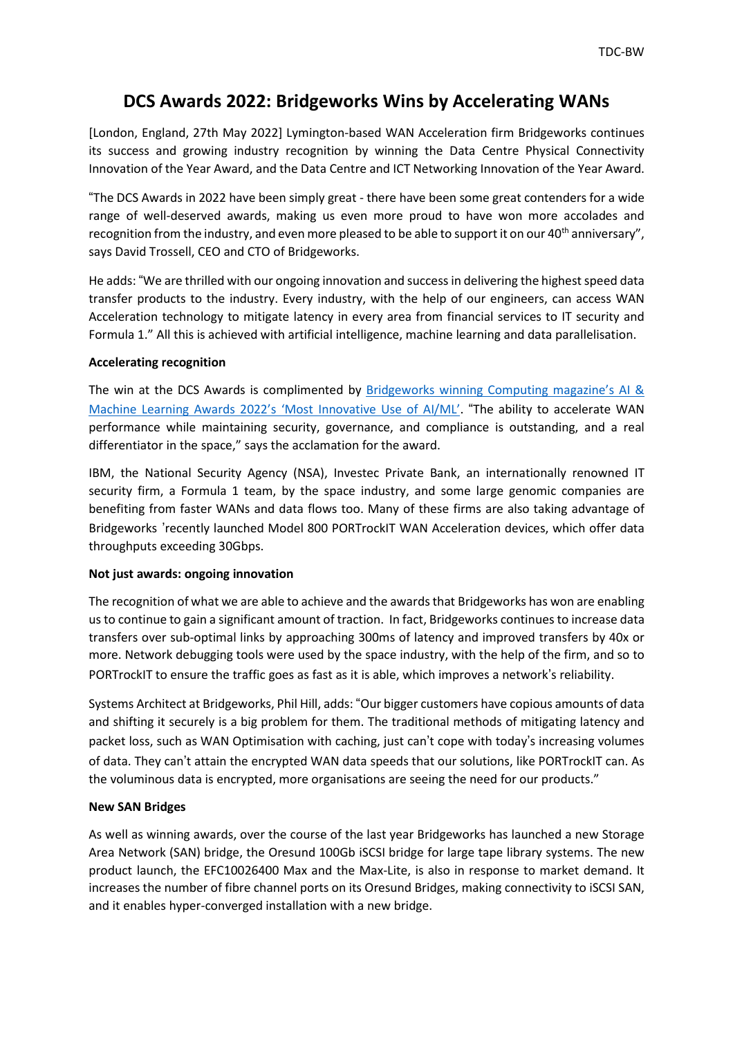# **DCS Awards 2022: Bridgeworks Wins by Accelerating WANs**

[London, England, 27th May 2022] Lymington-based WAN Acceleration firm Bridgeworks continues its success and growing industry recognition by winning the Data Centre Physical Connectivity Innovation of the Year Award, and the Data Centre and ICT Networking Innovation of the Year Award.

"The DCS Awards in 2022 have been simply great - there have been some great contenders for a wide range of well-deserved awards, making us even more proud to have won more accolades and recognition from the industry, and even more pleased to be able to support it on our 40<sup>th</sup> anniversary", says David Trossell, CEO and CTO of Bridgeworks.

He adds: "We are thrilled with our ongoing innovation and success in delivering the highest speed data transfer products to the industry. Every industry, with the help of our engineers, can access WAN Acceleration technology to mitigate latency in every area from financial services to IT security and Formula 1." All this is achieved with artificial intelligence, machine learning and data parallelisation.

## **Accelerating recognition**

The win at the DCS Awards is complimented by [Bridgeworks](https://view.ceros.com/incisive-media/incisive-awards-computing-ai-and-machine-learning-awards-2022/p/9) winning Computing magazine's AI & Machine Learning Awards 2022's 'Most [Innovative](https://view.ceros.com/incisive-media/incisive-awards-computing-ai-and-machine-learning-awards-2022/p/9) Use of AI/ML'. "The ability to accelerate WAN performance while maintaining security, governance, and compliance is outstanding, and a real differentiator in the space," says the acclamation for the award.

IBM, the National Security Agency (NSA), Investec Private Bank, an internationally renowned IT security firm, a Formula 1 team, by the space industry, and some large genomic companies are benefiting from faster WANs and data flows too. Many of these firms are also taking advantage of Bridgeworks 'recently launched Model 800 PORTrockIT WAN Acceleration devices, which offer data throughputs exceeding 30Gbps.

## **Not just awards: ongoing innovation**

The recognition of what we are able to achieve and the awards that Bridgeworks has won are enabling us to continue to gain a significant amount of traction. In fact, Bridgeworks continues to increase data transfers over sub-optimal links by approaching 300ms of latency and improved transfers by 40x or more. Network debugging tools were used by the space industry, with the help of the firm, and so to PORTrockIT to ensure the traffic goes as fast as it is able, which improves a network's reliability.

Systems Architect at Bridgeworks, Phil Hill, adds: "Our bigger customers have copious amounts of data and shifting it securely is a big problem for them. The traditional methods of mitigating latency and packet loss, such as WAN Optimisation with caching, just can't cope with today's increasing volumes of data. They can't attain the encrypted WAN data speeds that our solutions, like PORTrockIT can. As the voluminous data is encrypted, more organisations are seeing the need for our products."

## **New SAN Bridges**

As well as winning awards, over the course of the last year Bridgeworks has launched a new Storage Area Network (SAN) bridge, the Oresund 100Gb iSCSI bridge for large tape library systems. The new product launch, the EFC10026400 Max and the Max-Lite, is also in response to market demand. It increases the number of fibre channel ports on its Oresund Bridges, making connectivity to iSCSI SAN, and it enables hyper-converged installation with a new bridge.